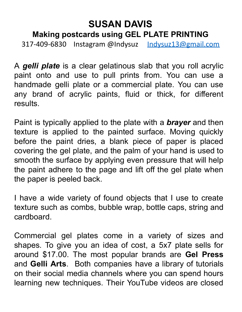## **SUSAN DAVIS Making postcards using GEL PLATE PRINTING**

317-409-6830 Instagram @Indysuz Indysuz13@gmail.com

A *gelli plate* is a clear gelatinous slab that you roll acrylic paint onto and use to pull prints from. You can use a handmade gelli plate or a commercial plate. You can use any brand of acrylic paints, fluid or thick, for different results.

Paint is typically applied to the plate with a *brayer* and then texture is applied to the painted surface. Moving quickly before the paint dries, a blank piece of paper is placed covering the gel plate, and the palm of your hand is used to smooth the surface by applying even pressure that will help the paint adhere to the page and lift off the gel plate when the paper is peeled back.

I have a wide variety of found objects that I use to create texture such as combs, bubble wrap, bottle caps, string and cardboard.

Commercial gel plates come in a variety of sizes and shapes. To give you an idea of cost, a 5x7 plate sells for around \$17.00. The most popular brands are **Gel Press** and **Gelli Arts**. Both companies have a library of tutorials on their social media channels where you can spend hours learning new techniques. Their YouTube videos are closed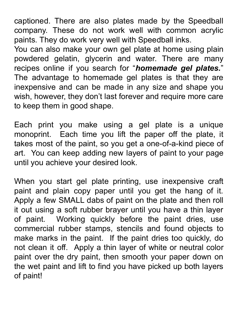captioned. There are also plates made by the Speedball company. These do not work well with common acrylic paints. They do work very well with Speedball inks.

You can also make your own gel plate at home using plain powdered gelatin, glycerin and water. There are many recipes online if you search for "*homemade gel plates.*" The advantage to homemade gel plates is that they are inexpensive and can be made in any size and shape you wish, however, they don't last forever and require more care to keep them in good shape.

Each print you make using a gel plate is a unique monoprint. Each time you lift the paper off the plate, it takes most of the paint, so you get a one-of-a-kind piece of art. You can keep adding new layers of paint to your page until you achieve your desired look.

When you start gel plate printing, use inexpensive craft paint and plain copy paper until you get the hang of it. Apply a few SMALL dabs of paint on the plate and then roll it out using a soft rubber brayer until you have a thin layer of paint. Working quickly before the paint dries, use commercial rubber stamps, stencils and found objects to make marks in the paint. If the paint dries too quickly, do not clean it off. Apply a thin layer of white or neutral color paint over the dry paint, then smooth your paper down on the wet paint and lift to find you have picked up both layers of paint!